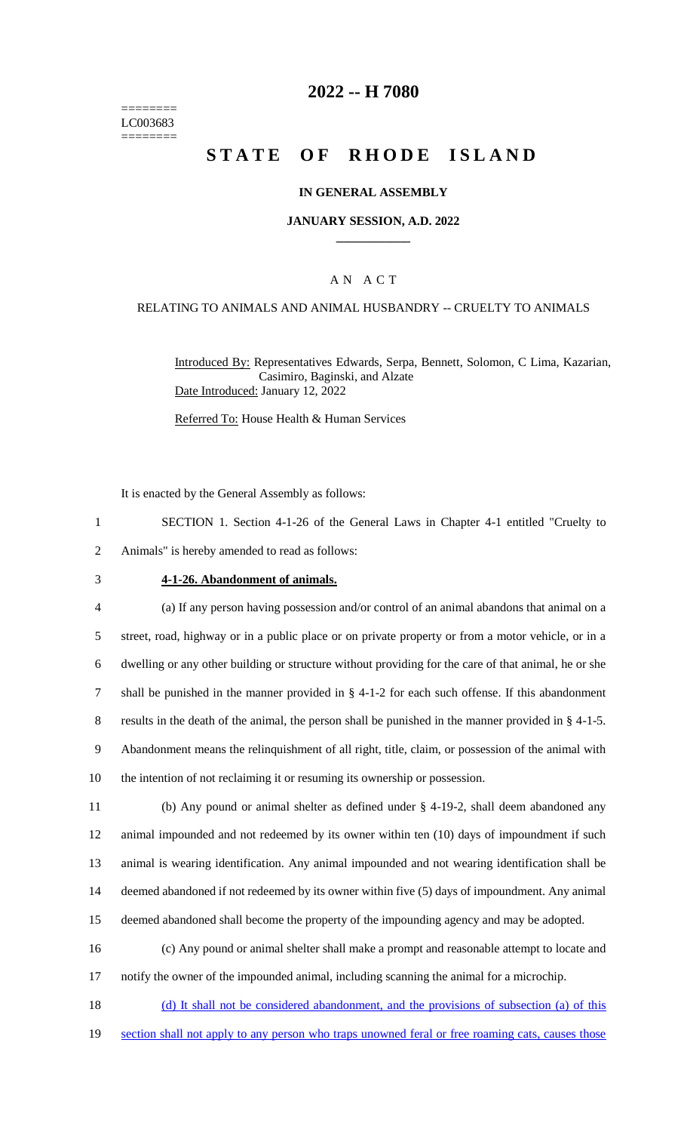======== LC003683 ========

# **2022 -- H 7080**

# **STATE OF RHODE ISLAND**

#### **IN GENERAL ASSEMBLY**

#### **JANUARY SESSION, A.D. 2022 \_\_\_\_\_\_\_\_\_\_\_\_**

#### A N A C T

#### RELATING TO ANIMALS AND ANIMAL HUSBANDRY -- CRUELTY TO ANIMALS

Introduced By: Representatives Edwards, Serpa, Bennett, Solomon, C Lima, Kazarian, Casimiro, Baginski, and Alzate Date Introduced: January 12, 2022

Referred To: House Health & Human Services

It is enacted by the General Assembly as follows:

- 1 SECTION 1. Section 4-1-26 of the General Laws in Chapter 4-1 entitled "Cruelty to 2 Animals" is hereby amended to read as follows:
- 

#### 3 **4-1-26. Abandonment of animals.**

 (a) If any person having possession and/or control of an animal abandons that animal on a street, road, highway or in a public place or on private property or from a motor vehicle, or in a dwelling or any other building or structure without providing for the care of that animal, he or she shall be punished in the manner provided in § 4-1-2 for each such offense. If this abandonment results in the death of the animal, the person shall be punished in the manner provided in § 4-1-5. Abandonment means the relinquishment of all right, title, claim, or possession of the animal with the intention of not reclaiming it or resuming its ownership or possession.

 (b) Any pound or animal shelter as defined under § 4-19-2, shall deem abandoned any animal impounded and not redeemed by its owner within ten (10) days of impoundment if such animal is wearing identification. Any animal impounded and not wearing identification shall be deemed abandoned if not redeemed by its owner within five (5) days of impoundment. Any animal deemed abandoned shall become the property of the impounding agency and may be adopted.

- 16 (c) Any pound or animal shelter shall make a prompt and reasonable attempt to locate and 17 notify the owner of the impounded animal, including scanning the animal for a microchip.
- 18 (d) It shall not be considered abandonment, and the provisions of subsection (a) of this 19 section shall not apply to any person who traps unowned feral or free roaming cats, causes those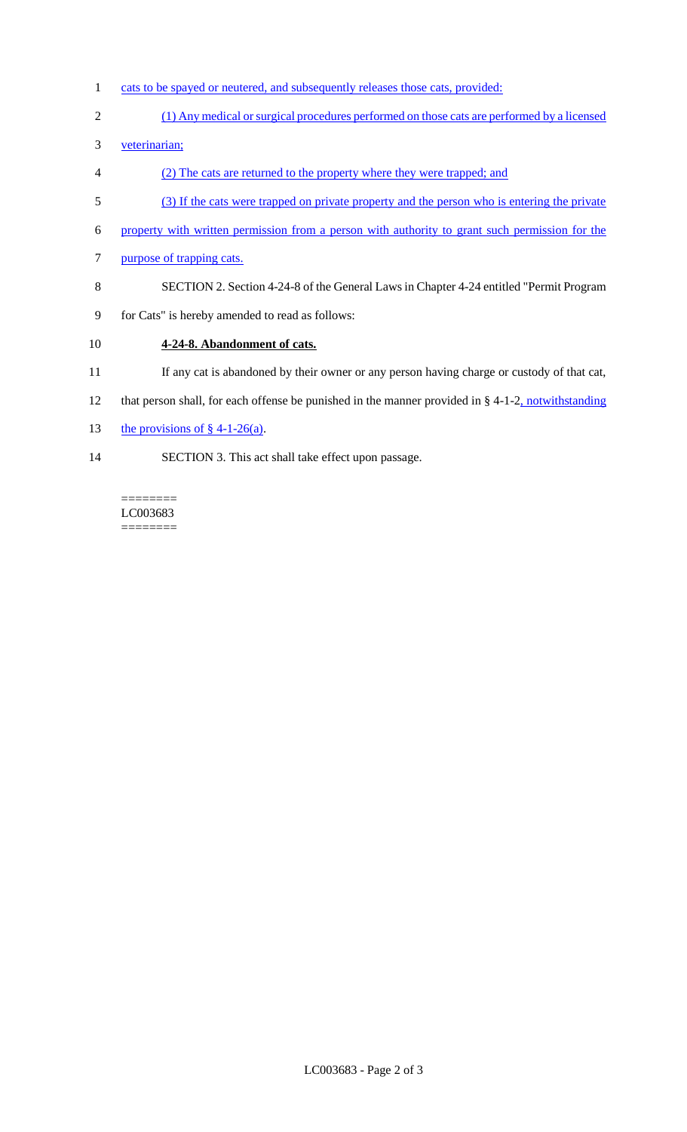- 1 cats to be spayed or neutered, and subsequently releases those cats, provided:
- 2 (1) Any medical or surgical procedures performed on those cats are performed by a licensed
- 3 veterinarian;
- 4 (2) The cats are returned to the property where they were trapped; and
- 5 (3) If the cats were trapped on private property and the person who is entering the private
- 6 property with written permission from a person with authority to grant such permission for the
- 7 purpose of trapping cats.
- 8 SECTION 2. Section 4-24-8 of the General Laws in Chapter 4-24 entitled "Permit Program
- 9 for Cats" is hereby amended to read as follows:

# 10 **4-24-8. Abandonment of cats.**

- 11 If any cat is abandoned by their owner or any person having charge or custody of that cat,
- 12 that person shall, for each offense be punished in the manner provided in § 4-1-2, notwithstanding
- 13 the provisions of  $\S$  4-1-26(a).
- 14 SECTION 3. This act shall take effect upon passage.

 $=$ LC003683 ========